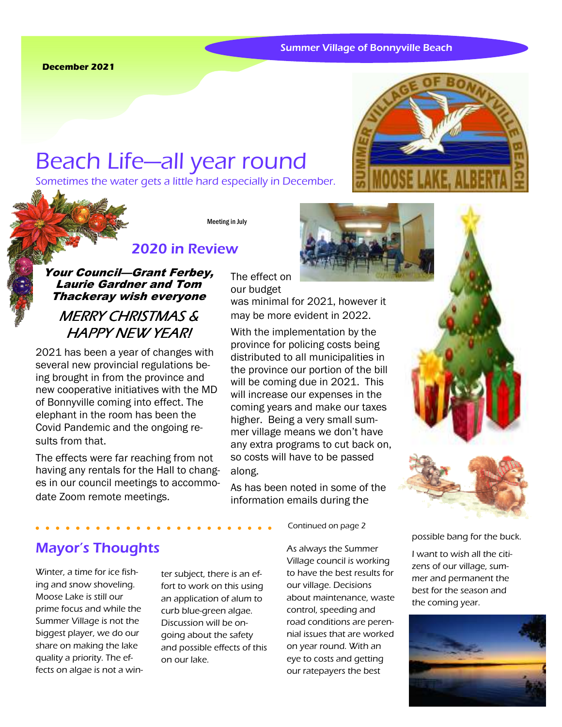#### **December 2021**

# Beach Life—all year round

Sometimes the water gets a little hard especially in December.



Meeting in July

The effect on our budget

# 2020 in Review

## Your Council—Grant Ferbey, Laurie Gardner and Tom Thackeray wish everyone

# MERRY CHRISTMAS & **HAPPY NEW YEAR!**

2021 has been a year of changes with several new provincial regulations being brought in from the province and new cooperative initiatives with the MD of Bonnyville coming into effect. The elephant in the room has been the Covid Pandemic and the ongoing results from that.

The effects were far reaching from not having any rentals for the Hall to changes in our council meetings to accommodate Zoom remote meetings.



Summer Village of Bonnyville Beach

was minimal for 2021, however it may be more evident in 2022.

With the implementation by the province for policing costs being distributed to all municipalities in the province our portion of the bill will be coming due in 2021. This will increase our expenses in the coming years and make our taxes higher. Being a very small summer village means we don't have any extra programs to cut back on, so costs will have to be passed along.

As has been noted in some of the information emails during the

Continued on page 2

## Mayor's Thoughts

Winter, a time for ice fishing and snow shoveling. Moose Lake is still our prime focus and while the Summer Village is not the biggest player, we do our share on making the lake quality a priority. The effects on algae is not a win-

ter subject, there is an effort to work on this using an application of alum to curb blue-green algae. Discussion will be ongoing about the safety and possible effects of this on our lake.

As always the Summer Village council is working to have the best results for our village. Decisions about maintenance, waste control, speeding and road conditions are perennial issues that are worked on year round. With an eye to costs and getting our ratepayers the best





possible bang for the buck.

I want to wish all the citizens of our village, summer and permanent the best for the season and the coming year.

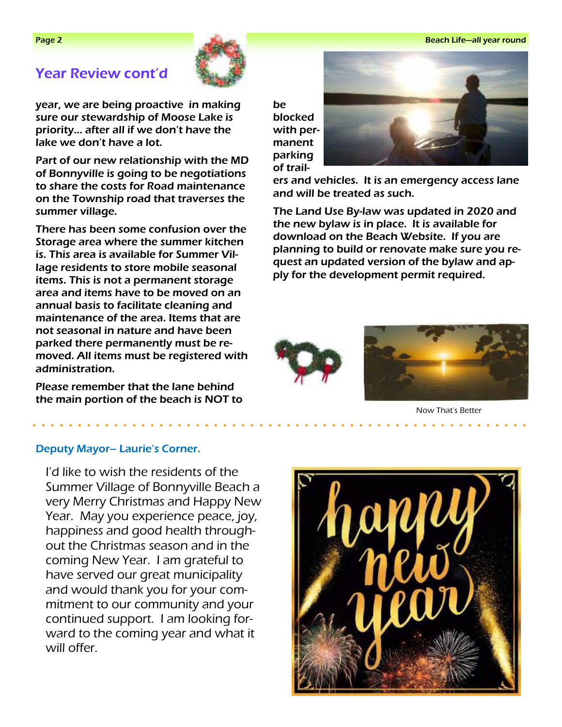## Year Review cont'd



year, we are being proactive in making sure our stewardship of Moose Lake is priority… after all if we don't have the lake we don't have a lot.

Part of our new relationship with the MD of Bonnyville is going to be negotiations to share the costs for Road maintenance on the Township road that traverses the summer village.

There has been some confusion over the Storage area where the summer kitchen is. This area is available for Summer Village residents to store mobile seasonal items. This is not a permanent storage area and items have to be moved on an annual basis to facilitate cleaning and maintenance of the area. Items that are not seasonal in nature and have been parked there permanently must be removed. All items must be registered with administration.

Please remember that the lane behind the main portion of the beach is NOT to be blocked with permanent parking of trail-



ers and vehicles. It is an emergency access lane and will be treated as such.

The Land Use By-law was updated in 2020 and the new bylaw is in place. It is available for download on the Beach Website. If you are planning to build or renovate make sure you request an updated version of the bylaw and apply for the development permit required.





Now That's Better

## Deputy Mayor– Laurie's Corner.

I'd like to wish the residents of the Summer Village of Bonnyville Beach a very Merry Christmas and Happy New Year. May you experience peace, joy, happiness and good health throughout the Christmas season and in the coming New Year. I am grateful to have served our great municipality and would thank you for your commitment to our community and your continued support. I am looking forward to the coming year and what it will offer.

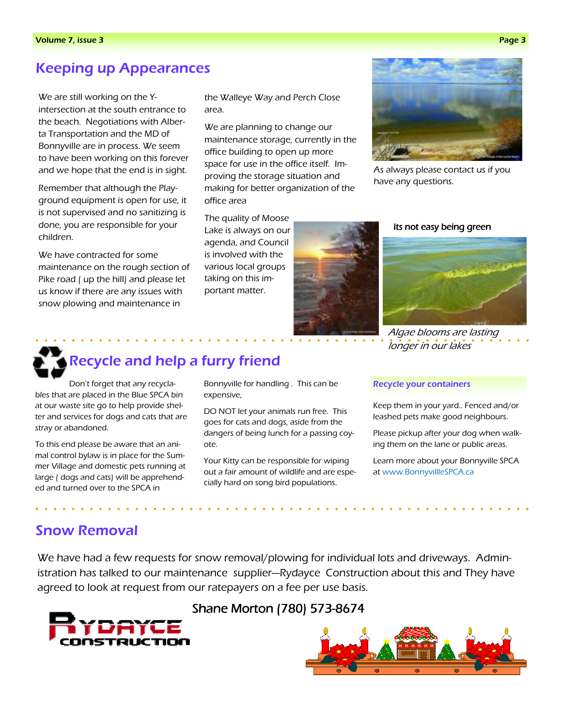# Keeping up Appearances

We are still working on the Yintersection at the south entrance to the beach. Negotiations with Alberta Transportation and the MD of Bonnyville are in process. We seem to have been working on this forever and we hope that the end is in sight.

Remember that although the Playground equipment is open for use, it is not supervised and no sanitizing is done, you are responsible for your children.

We have contracted for some maintenance on the rough section of Pike road ( up the hill) and please let us know if there are any issues with snow plowing and maintenance in

the Walleye Way and Perch Close area.

We are planning to change our maintenance storage, currently in the office building to open up more space for use in the office itself. Improving the storage situation and making for better organization of the office area

The quality of Moose Lake is always on our agenda, and Council is involved with the various local groups taking on this important matter.



Its not easy being green

As always please contact us if you

have any questions.



Algae blooms are lasting longer in our lakes

# Recycle and help a furry friend

Don't forget that any recyclables that are placed in the Blue SPCA bin at our waste site go to help provide shelter and services for dogs and cats that are stray or abandoned.

To this end please be aware that an animal control bylaw is in place for the Summer Village and domestic pets running at large ( dogs and cats) will be apprehended and turned over to the SPCA in

Bonnyville for handling . This can be expensive,

DO NOT let your animals run free. This goes for cats and dogs, aside from the dangers of being lunch for a passing coyote.

Your Kitty can be responsible for wiping out a fair amount of wildlife and are especially hard on song bird populations.

#### Recycle your containers

Keep them in your yard.. Fenced and/or leashed pets make good neighbours.

Please pickup after your dog when walking them on the lane or public areas.

Learn more about your Bonnyville SPCA at www.BonnyvillleSPCA.ca

## Snow Removal

We have had a few requests for snow removal/plowing for individual lots and driveways. Administration has talked to our maintenance supplier—Rydayce Construction about this and They have agreed to look at request from our ratepayers on a fee per use basis.



## Shane Morton (780) 573-8674